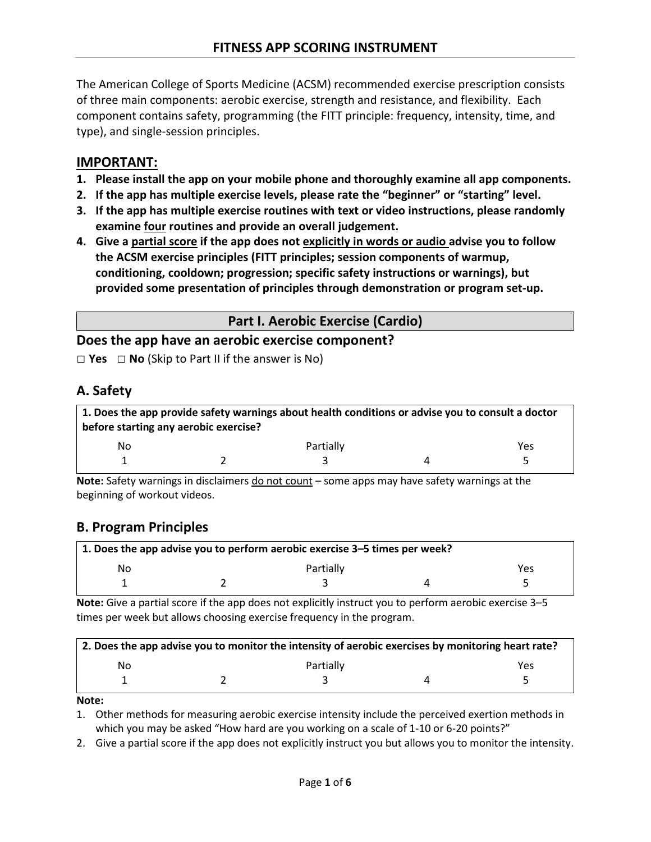The American College of Sports Medicine (ACSM) recommended exercise prescription consists of three main components: aerobic exercise, strength and resistance, and flexibility. Each component contains safety, programming (the FITT principle: frequency, intensity, time, and type), and single-session principles.

### **IMPORTANT:**

- **1. Please install the app on your mobile phone and thoroughly examine all app components.**
- **2. If the app has multiple exercise levels, please rate the "beginner" or "starting" level.**
- **3. If the app has multiple exercise routines with text or video instructions, please randomly examine four routines and provide an overall judgement.**
- **4. Give a partial score if the app does not explicitly in words or audio advise you to follow the ACSM exercise principles (FITT principles; session components of warmup, conditioning, cooldown; progression; specific safety instructions or warnings), but provided some presentation of principles through demonstration or program set-up.**

## **Part I. Aerobic Exercise (Cardio)**

### **Does the app have an aerobic exercise component?**

**□ Yes □ No** (Skip to Part II if the answer is No)

## **A. Safety**

| 1. Does the app provide safety warnings about health conditions or advise you to consult a doctor<br>before starting any aerobic exercise? |  |           |  |     |
|--------------------------------------------------------------------------------------------------------------------------------------------|--|-----------|--|-----|
| No                                                                                                                                         |  | Partially |  | Yes |
|                                                                                                                                            |  |           |  | 5.  |

**Note:** Safety warnings in disclaimers do not count – some apps may have safety warnings at the beginning of workout videos.

## **B. Program Principles**

| $\mid$ 1. Does the app advise you to perform aerobic exercise 3–5 times per week? |  |           |  |     |  |
|-----------------------------------------------------------------------------------|--|-----------|--|-----|--|
| No                                                                                |  | Partially |  | Yes |  |
|                                                                                   |  |           |  |     |  |

**Note:** Give a partial score if the app does not explicitly instruct you to perform aerobic exercise 3–5 times per week but allows choosing exercise frequency in the program.

| 2. Does the app advise you to monitor the intensity of aerobic exercises by monitoring heart rate? |  |           |  |            |  |
|----------------------------------------------------------------------------------------------------|--|-----------|--|------------|--|
| No                                                                                                 |  | Partially |  | <b>Yes</b> |  |
|                                                                                                    |  |           |  |            |  |

**Note:**

1. Other methods for measuring aerobic exercise intensity include the perceived exertion methods in which you may be asked "How hard are you working on a scale of 1-10 or 6-20 points?"

2. Give a partial score if the app does not explicitly instruct you but allows you to monitor the intensity.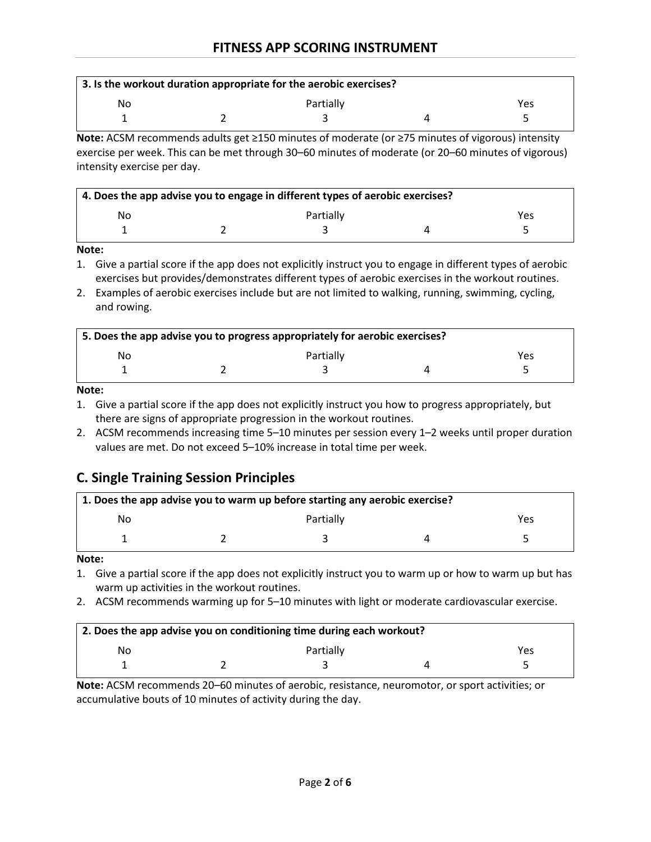## **FITNESS APP SCORING INSTRUMENT**

|    | 3. Is the workout duration appropriate for the aerobic exercises? |     |
|----|-------------------------------------------------------------------|-----|
| No | Partially                                                         | Yes |
|    |                                                                   |     |

**Note:** ACSM recommends adults get ≥150 minutes of moderate (or ≥75 minutes of vigorous) intensity exercise per week. This can be met through 30–60 minutes of moderate (or 20–60 minutes of vigorous) intensity exercise per day.

| $\vert$ 4. Does the app advise you to engage in different types of aerobic exercises? |  |           |  |     |  |
|---------------------------------------------------------------------------------------|--|-----------|--|-----|--|
| No                                                                                    |  | Partially |  | Yes |  |
|                                                                                       |  |           |  |     |  |

#### **Note:**

1. Give a partial score if the app does not explicitly instruct you to engage in different types of aerobic exercises but provides/demonstrates different types of aerobic exercises in the workout routines.

2. Examples of aerobic exercises include but are not limited to walking, running, swimming, cycling, and rowing.

| 5. Does the app advise you to progress appropriately for aerobic exercises? |  |           |  |     |  |
|-----------------------------------------------------------------------------|--|-----------|--|-----|--|
| No                                                                          |  | Partially |  | Yes |  |
|                                                                             |  |           |  |     |  |

### **Note:**

- 1. Give a partial score if the app does not explicitly instruct you how to progress appropriately, but there are signs of appropriate progression in the workout routines.
- 2. ACSM recommends increasing time 5–10 minutes per session every 1–2 weeks until proper duration values are met. Do not exceed 5–10% increase in total time per week.

# **C. Single Training Session Principles**

| 1. Does the app advise you to warm up before starting any aerobic exercise? |  |           |  |     |  |
|-----------------------------------------------------------------------------|--|-----------|--|-----|--|
| Nο                                                                          |  | Partially |  | Yes |  |
|                                                                             |  |           |  |     |  |

### **Note:**

- 1. Give a partial score if the app does not explicitly instruct you to warm up or how to warm up but has warm up activities in the workout routines.
- 2. ACSM recommends warming up for 5–10 minutes with light or moderate cardiovascular exercise.

| 2. Does the app advise you on conditioning time during each workout? |  |           |  |     |  |
|----------------------------------------------------------------------|--|-----------|--|-----|--|
| No                                                                   |  | Partially |  | Yes |  |
|                                                                      |  |           |  |     |  |

**Note:** ACSM recommends 20–60 minutes of aerobic, resistance, neuromotor, or sport activities; or accumulative bouts of 10 minutes of activity during the day.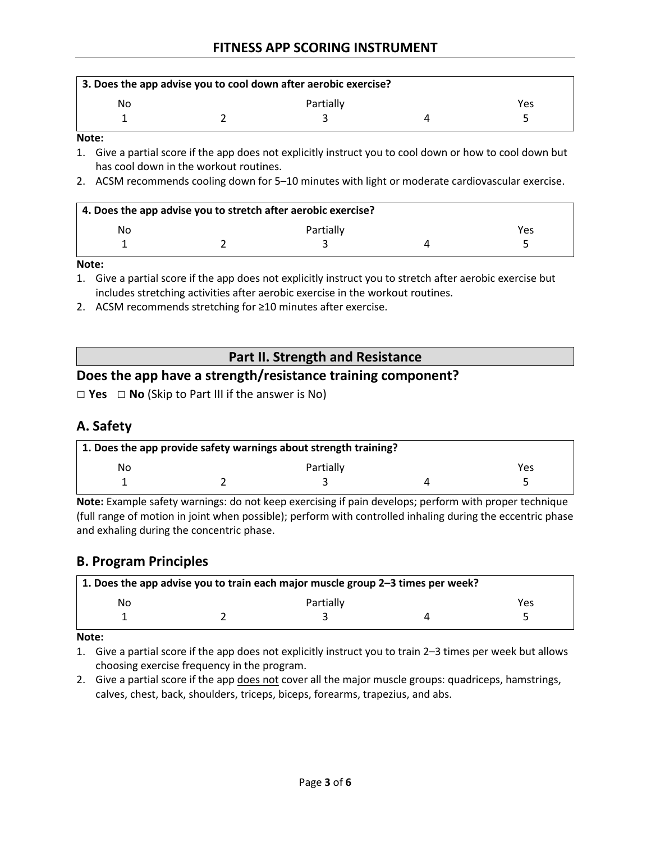## **FITNESS APP SCORING INSTRUMENT**

| 3. Does the app advise you to cool down after aerobic exercise? |  |           |  |     |  |
|-----------------------------------------------------------------|--|-----------|--|-----|--|
| No                                                              |  | Partially |  | Yes |  |
|                                                                 |  |           |  |     |  |

#### **Note:**

- 1. Give a partial score if the app does not explicitly instruct you to cool down or how to cool down but has cool down in the workout routines.
- 2. ACSM recommends cooling down for 5–10 minutes with light or moderate cardiovascular exercise.

| $\vert$ 4. Does the app advise you to stretch after aerobic exercise? |  |           |  |     |  |
|-----------------------------------------------------------------------|--|-----------|--|-----|--|
| No                                                                    |  | Partially |  | Yes |  |
|                                                                       |  |           |  |     |  |

#### **Note:**

1. Give a partial score if the app does not explicitly instruct you to stretch after aerobic exercise but includes stretching activities after aerobic exercise in the workout routines.

2. ACSM recommends stretching for ≥10 minutes after exercise.

## **Part II. Strength and Resistance**

### **Does the app have a strength/resistance training component?**

**□ Yes □ No** (Skip to Part III if the answer is No)

## **A. Safety**

| 1. Does the app provide safety warnings about strength training? |  |           |  |     |  |
|------------------------------------------------------------------|--|-----------|--|-----|--|
| Nο                                                               |  | Partially |  | Yes |  |
|                                                                  |  |           |  |     |  |

**Note:** Example safety warnings: do not keep exercising if pain develops; perform with proper technique (full range of motion in joint when possible); perform with controlled inhaling during the eccentric phase and exhaling during the concentric phase.

### **B. Program Principles**

| 1. Does the app advise you to train each major muscle group 2–3 times per week? |  |           |  |     |
|---------------------------------------------------------------------------------|--|-----------|--|-----|
| No                                                                              |  | Partially |  | Yes |
|                                                                                 |  |           |  |     |

### **Note:**

1. Give a partial score if the app does not explicitly instruct you to train 2–3 times per week but allows choosing exercise frequency in the program.

2. Give a partial score if the app does not cover all the major muscle groups: quadriceps, hamstrings, calves, chest, back, shoulders, triceps, biceps, forearms, trapezius, and abs.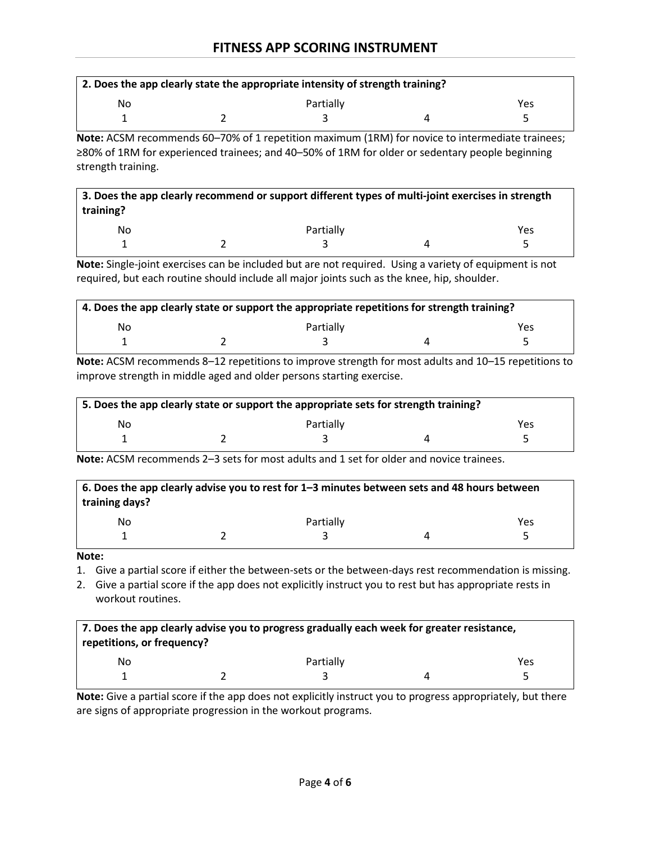| 2. Does the app clearly state the appropriate intensity of strength training? |  |           |  |     |  |
|-------------------------------------------------------------------------------|--|-----------|--|-----|--|
| No                                                                            |  | Partially |  | Yes |  |
|                                                                               |  |           |  |     |  |

**Note:** ACSM recommends 60–70% of 1 repetition maximum (1RM) for novice to intermediate trainees; ≥80% of 1RM for experienced trainees; and 40–50% of 1RM for older or sedentary people beginning strength training.

| training? | 3. Does the app clearly recommend or support different types of multi-joint exercises in strength |     |
|-----------|---------------------------------------------------------------------------------------------------|-----|
| No        | Partially                                                                                         | Yes |
|           |                                                                                                   |     |

**Note:** Single-joint exercises can be included but are not required. Using a variety of equipment is not required, but each routine should include all major joints such as the knee, hip, shoulder.

| 4. Does the app clearly state or support the appropriate repetitions for strength training? |  |           |  |     |  |
|---------------------------------------------------------------------------------------------|--|-----------|--|-----|--|
| No                                                                                          |  | Partially |  | Yes |  |
|                                                                                             |  |           |  |     |  |

**Note:** ACSM recommends 8–12 repetitions to improve strength for most adults and 10–15 repetitions to improve strength in middle aged and older persons starting exercise.

| 5. Does the app clearly state or support the appropriate sets for strength training? |  |           |  |     |  |
|--------------------------------------------------------------------------------------|--|-----------|--|-----|--|
| Nο                                                                                   |  | Partially |  | Yes |  |
|                                                                                      |  |           |  |     |  |

**Note:** ACSM recommends 2–3 sets for most adults and 1 set for older and novice trainees.

| 6. Does the app clearly advise you to rest for 1–3 minutes between sets and 48 hours between<br>training days? |  |           |  |     |
|----------------------------------------------------------------------------------------------------------------|--|-----------|--|-----|
| No                                                                                                             |  | Partially |  | Yes |
|                                                                                                                |  |           |  |     |

**Note:** 

1. Give a partial score if either the between-sets or the between-days rest recommendation is missing.

2. Give a partial score if the app does not explicitly instruct you to rest but has appropriate rests in workout routines.

| 7. Does the app clearly advise you to progress gradually each week for greater resistance,<br>repetitions, or frequency? |  |           |  |     |  |
|--------------------------------------------------------------------------------------------------------------------------|--|-----------|--|-----|--|
| No                                                                                                                       |  | Partially |  | Yes |  |
|                                                                                                                          |  |           |  |     |  |

**Note:** Give a partial score if the app does not explicitly instruct you to progress appropriately, but there are signs of appropriate progression in the workout programs.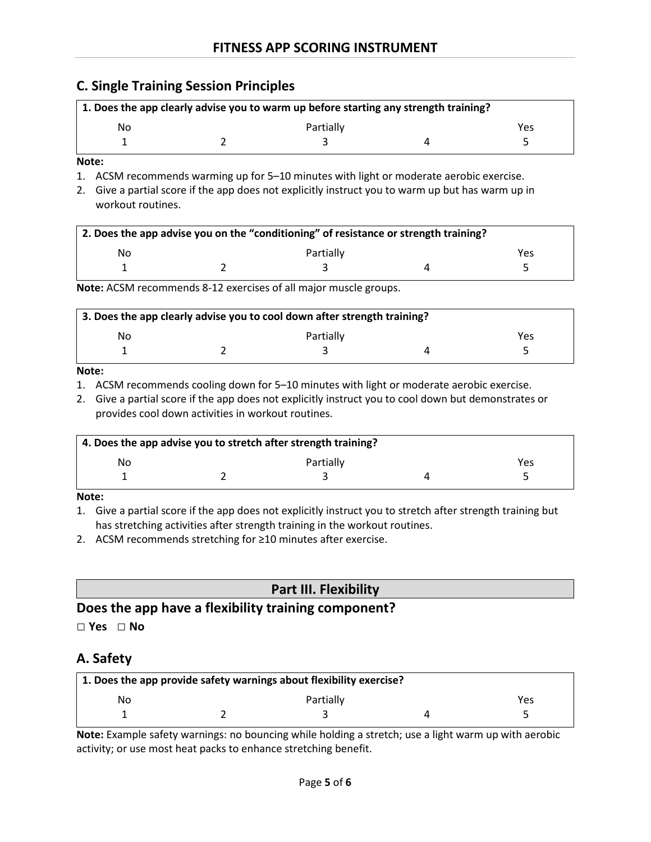## **C. Single Training Session Principles**

| 1. Does the app clearly advise you to warm up before starting any strength training? |  |           |  |     |  |
|--------------------------------------------------------------------------------------|--|-----------|--|-----|--|
| No                                                                                   |  | Partially |  | Yes |  |
|                                                                                      |  |           |  |     |  |

**Note:**

- 1. ACSM recommends warming up for 5–10 minutes with light or moderate aerobic exercise.
- 2. Give a partial score if the app does not explicitly instruct you to warm up but has warm up in workout routines.

| 2. Does the app advise you on the "conditioning" of resistance or strength training? |  |           |  |     |  |
|--------------------------------------------------------------------------------------|--|-----------|--|-----|--|
| No                                                                                   |  | Partially |  | Yes |  |
|                                                                                      |  |           |  |     |  |

**Note:** ACSM recommends 8-12 exercises of all major muscle groups.

| 3. Does the app clearly advise you to cool down after strength training? |  |           |  |     |  |
|--------------------------------------------------------------------------|--|-----------|--|-----|--|
| No                                                                       |  | Partially |  | Yes |  |
|                                                                          |  |           |  |     |  |

### **Note:**

- 1. ACSM recommends cooling down for 5–10 minutes with light or moderate aerobic exercise.
- 2. Give a partial score if the app does not explicitly instruct you to cool down but demonstrates or provides cool down activities in workout routines.

| 4. Does the app advise you to stretch after strength training? |  |           |  |     |  |
|----------------------------------------------------------------|--|-----------|--|-----|--|
| No                                                             |  | Partially |  | Yes |  |
|                                                                |  |           |  |     |  |

### **Note:**

1. Give a partial score if the app does not explicitly instruct you to stretch after strength training but has stretching activities after strength training in the workout routines.

2. ACSM recommends stretching for ≥10 minutes after exercise.

# **Part III. Flexibility**

## **Does the app have a flexibility training component?**

**□ Yes □ No**

## **A. Safety**

| 1. Does the app provide safety warnings about flexibility exercise? |  |           |  |     |  |  |
|---------------------------------------------------------------------|--|-----------|--|-----|--|--|
| No                                                                  |  | Partially |  | Yes |  |  |
|                                                                     |  |           |  |     |  |  |

**Note:** Example safety warnings: no bouncing while holding a stretch; use a light warm up with aerobic activity; or use most heat packs to enhance stretching benefit.